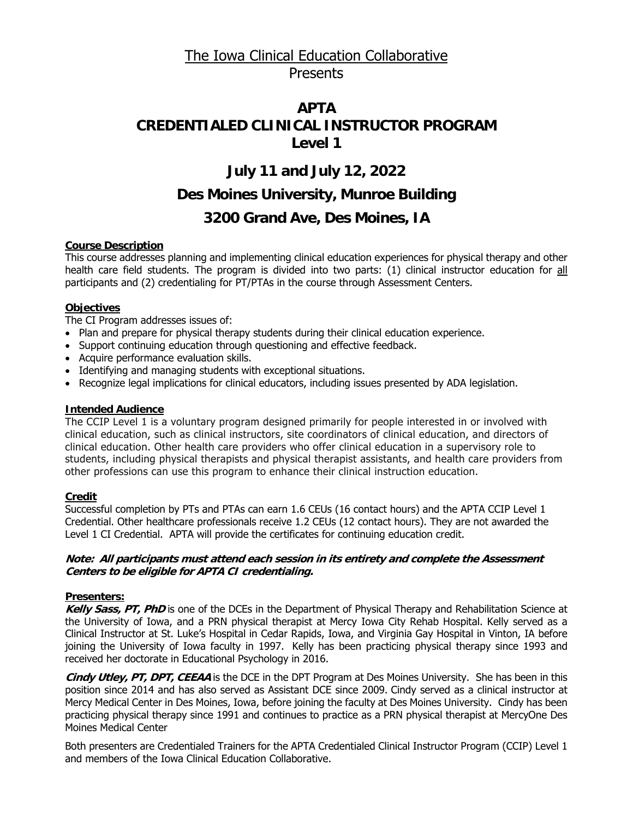# The Iowa Clinical Education Collaborative Presents

# **APTA CREDENTIALED CLINICAL INSTRUCTOR PROGRAM Level 1**

## **July 11 and July 12, 2022**

## **Des Moines University, Munroe Building**

## **3200 Grand Ave, Des Moines, IA**

## **Course Description**

This course addresses planning and implementing clinical education experiences for physical therapy and other health care field students. The program is divided into two parts: (1) clinical instructor education for all participants and (2) credentialing for PT/PTAs in the course through Assessment Centers.

## **Objectives**

The CI Program addresses issues of:

- Plan and prepare for physical therapy students during their clinical education experience.
- Support continuing education through questioning and effective feedback.
- Acquire performance evaluation skills.
- Identifying and managing students with exceptional situations.
- Recognize legal implications for clinical educators, including issues presented by ADA legislation.

## **Intended Audience**

The CCIP Level 1 is a voluntary program designed primarily for people interested in or involved with clinical education, such as clinical instructors, site coordinators of clinical education, and directors of clinical education. Other health care providers who offer clinical education in a supervisory role to students, including physical therapists and physical therapist assistants, and health care providers from other professions can use this program to enhance their clinical instruction education.

## **Credit**

Successful completion by PTs and PTAs can earn 1.6 CEUs (16 contact hours) and the APTA CCIP Level 1 Credential. Other healthcare professionals receive 1.2 CEUs (12 contact hours). They are not awarded the Level 1 CI Credential. APTA will provide the certificates for continuing education credit.

#### **Note: All participants must attend each session in its entirety and complete the Assessment Centers to be eligible for APTA CI credentialing.**

## **Presenters:**

**Kelly Sass, PT, PhD** is one of the DCEs in the Department of Physical Therapy and Rehabilitation Science at the University of Iowa, and a PRN physical therapist at Mercy Iowa City Rehab Hospital. Kelly served as a Clinical Instructor at St. Luke's Hospital in Cedar Rapids, Iowa, and Virginia Gay Hospital in Vinton, IA before joining the University of Iowa faculty in 1997. Kelly has been practicing physical therapy since 1993 and received her doctorate in Educational Psychology in 2016.

**Cindy Utley, PT, DPT, CEEAA** is the DCE in the DPT Program at Des Moines University. She has been in this position since 2014 and has also served as Assistant DCE since 2009. Cindy served as a clinical instructor at Mercy Medical Center in Des Moines, Iowa, before joining the faculty at Des Moines University. Cindy has been practicing physical therapy since 1991 and continues to practice as a PRN physical therapist at MercyOne Des Moines Medical Center

Both presenters are Credentialed Trainers for the APTA Credentialed Clinical Instructor Program (CCIP) Level 1 and members of the Iowa Clinical Education Collaborative.